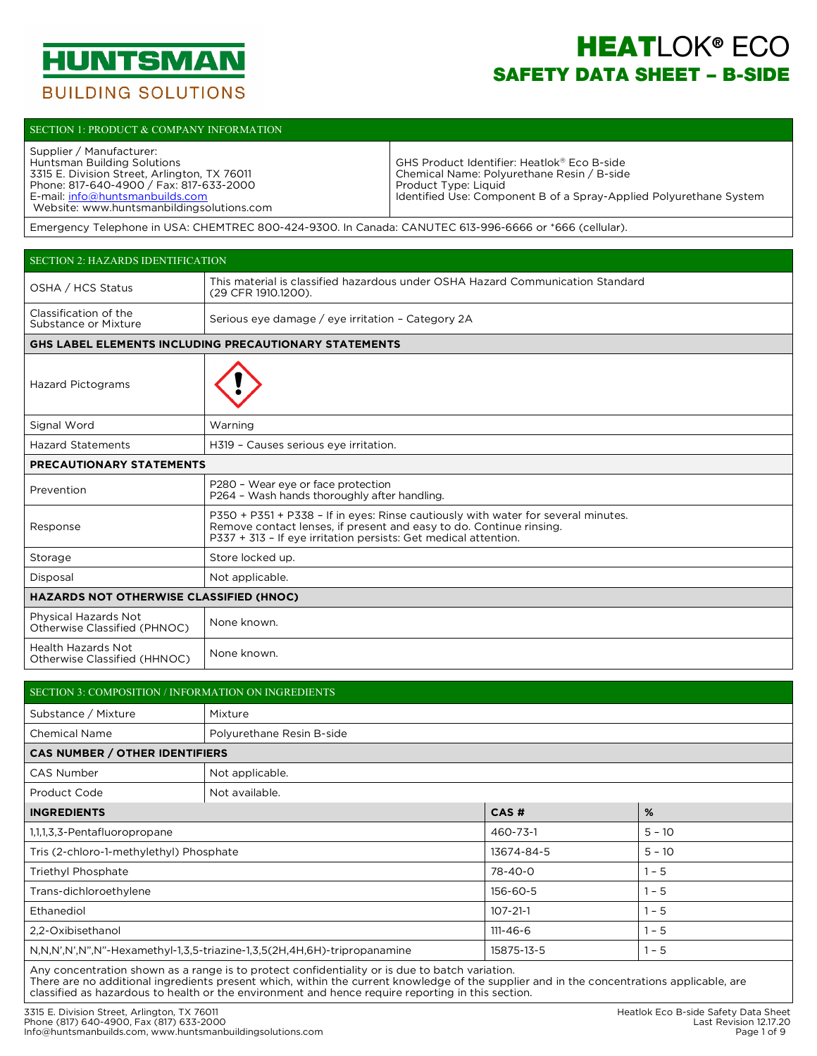

# **HEATLOK® ECO** SAFETY DATA SHEET – B-SIDE

#### SECTION 1: PRODUCT & COMPANY INFORMATION

| Supplier / Manufacturer:<br>Huntsman Building Solutions | GHS Product Identifier: Heatlok® Eco B-side                        |
|---------------------------------------------------------|--------------------------------------------------------------------|
| 3315 E. Division Street, Arlington, TX 76011            | Chemical Name: Polyurethane Resin / B-side                         |
| Phone: 817-640-4900 / Fax: 817-633-2000                 | Product Type: Liquid                                               |
| E-mail: info@huntsmanbuilds.com                         | Identified Use: Component B of a Spray-Applied Polyurethane System |
| Website: www.huntsmanbildingsolutions.com               |                                                                    |

Emergency Telephone in USA: CHEMTREC 800-424-9300. In Canada: CANUTEC 613-996-6666 or \*666 (cellular).

| <b>SECTION 2: HAZARDS IDENTIFICATION</b>             |                                                                                                                                                                                                                             |
|------------------------------------------------------|-----------------------------------------------------------------------------------------------------------------------------------------------------------------------------------------------------------------------------|
| OSHA / HCS Status                                    | This material is classified hazardous under OSHA Hazard Communication Standard<br>(29 CFR 1910.1200).                                                                                                                       |
| Classification of the<br>Substance or Mixture        | Serious eye damage / eye irritation - Category 2A                                                                                                                                                                           |
|                                                      | <b>GHS LABEL ELEMENTS INCLUDING PRECAUTIONARY STATEMENTS</b>                                                                                                                                                                |
| <b>Hazard Pictograms</b>                             |                                                                                                                                                                                                                             |
| Signal Word                                          | Warning                                                                                                                                                                                                                     |
| <b>Hazard Statements</b>                             | H319 - Causes serious eye irritation.                                                                                                                                                                                       |
| PRECAUTIONARY STATEMENTS                             |                                                                                                                                                                                                                             |
| Prevention                                           | P280 - Wear eye or face protection<br>P264 - Wash hands thoroughly after handling.                                                                                                                                          |
| Response                                             | P350 + P351 + P338 - If in eyes: Rinse cautiously with water for several minutes.<br>Remove contact lenses, if present and easy to do. Continue rinsing.<br>P337 + 313 - If eye irritation persists: Get medical attention. |
| Storage                                              | Store locked up.                                                                                                                                                                                                            |
| Disposal                                             | Not applicable.                                                                                                                                                                                                             |
| <b>HAZARDS NOT OTHERWISE CLASSIFIED (HNOC)</b>       |                                                                                                                                                                                                                             |
| Physical Hazards Not<br>Otherwise Classified (PHNOC) | None known.                                                                                                                                                                                                                 |
| Health Hazards Not<br>Otherwise Classified (HHNOC)   | None known.                                                                                                                                                                                                                 |

| SECTION 3: COMPOSITION / INFORMATION ON INGREDIENTS                                 |                                                                                                                                                                                                                                   |                |          |  |  |  |  |  |  |
|-------------------------------------------------------------------------------------|-----------------------------------------------------------------------------------------------------------------------------------------------------------------------------------------------------------------------------------|----------------|----------|--|--|--|--|--|--|
| Substance / Mixture                                                                 | Mixture                                                                                                                                                                                                                           |                |          |  |  |  |  |  |  |
| <b>Chemical Name</b>                                                                | Polyurethane Resin B-side                                                                                                                                                                                                         |                |          |  |  |  |  |  |  |
| <b>CAS NUMBER / OTHER IDENTIFIERS</b>                                               |                                                                                                                                                                                                                                   |                |          |  |  |  |  |  |  |
| CAS Number                                                                          | Not applicable.                                                                                                                                                                                                                   |                |          |  |  |  |  |  |  |
| Product Code                                                                        | Not available.                                                                                                                                                                                                                    |                |          |  |  |  |  |  |  |
| <b>INGREDIENTS</b>                                                                  |                                                                                                                                                                                                                                   | CAS#           | %        |  |  |  |  |  |  |
| 1, 1, 1, 3, 3 - Pentafluoropropane                                                  |                                                                                                                                                                                                                                   | 460-73-1       | $5 - 10$ |  |  |  |  |  |  |
| Tris (2-chloro-1-methylethyl) Phosphate                                             |                                                                                                                                                                                                                                   | 13674-84-5     | $5 - 10$ |  |  |  |  |  |  |
| Triethyl Phosphate                                                                  |                                                                                                                                                                                                                                   | 78-40-0        | $1 - 5$  |  |  |  |  |  |  |
| Trans-dichloroethylene                                                              |                                                                                                                                                                                                                                   | 156-60-5       | $1 - 5$  |  |  |  |  |  |  |
| Ethanediol                                                                          |                                                                                                                                                                                                                                   | $107 - 21 - 1$ | $1 - 5$  |  |  |  |  |  |  |
| 2,2-Oxibisethanol                                                                   |                                                                                                                                                                                                                                   | $111 - 46 - 6$ | $1 - 5$  |  |  |  |  |  |  |
| N, N, N', N', N", N"-Hexamethyl-1, 3, 5-triazine-1, 3, 5(2H, 4H, 6H)-tripropanamine |                                                                                                                                                                                                                                   | 15875-13-5     | $1 - 5$  |  |  |  |  |  |  |
|                                                                                     | $\mathbf{A}$ . The contract of the contract of the contract of the contract of the contract of the contract of the contract of the contract of the contract of the contract of the contract of the contract of the contract of th |                |          |  |  |  |  |  |  |

Any concentration shown as a range is to protect confidentiality or is due to batch variation. There are no additional ingredients present which, within the current knowledge of the supplier and in the concentrations applicable, are classified as hazardous to health or the environment and hence require reporting in this section.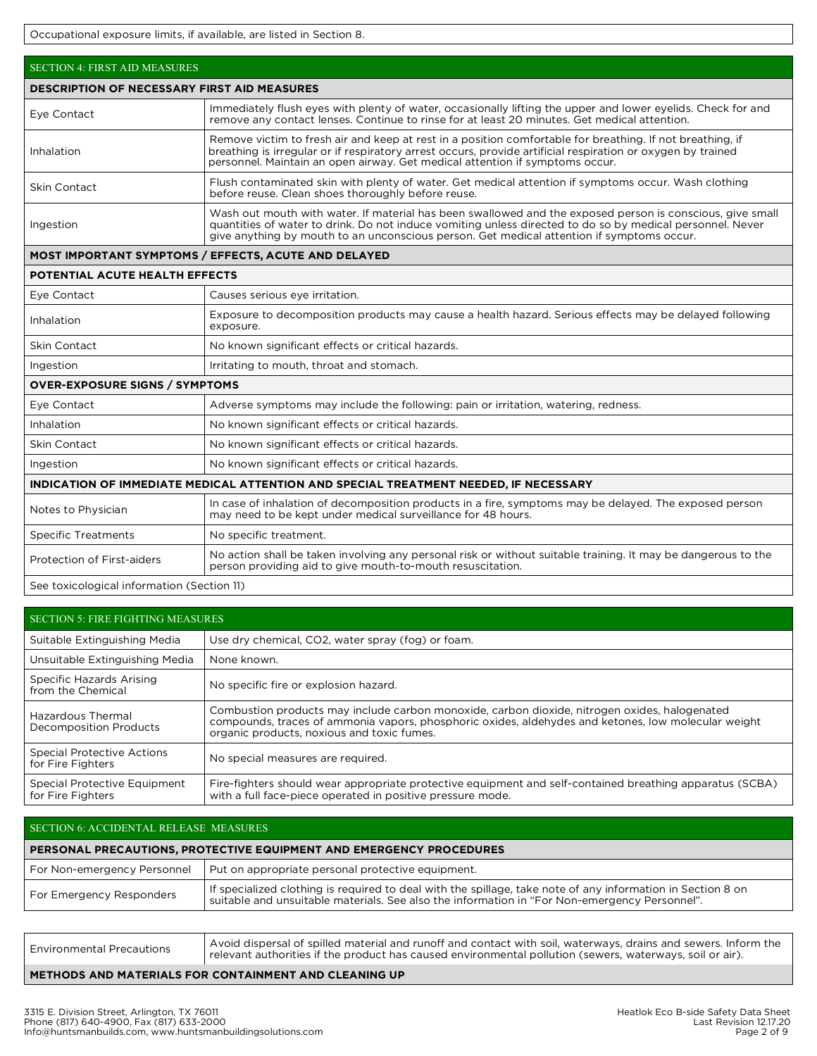Occupational exposure limits, if available, are listed in Section 8.

| <b>SECTION 4: FIRST AID MEASURES</b>  |                                                                                                                                                                                                                                                                                                                     |  |  |  |  |  |  |  |  |
|---------------------------------------|---------------------------------------------------------------------------------------------------------------------------------------------------------------------------------------------------------------------------------------------------------------------------------------------------------------------|--|--|--|--|--|--|--|--|
|                                       | <b>DESCRIPTION OF NECESSARY FIRST AID MEASURES</b>                                                                                                                                                                                                                                                                  |  |  |  |  |  |  |  |  |
| Eye Contact                           | Immediately flush eyes with plenty of water, occasionally lifting the upper and lower eyelids. Check for and<br>remove any contact lenses. Continue to rinse for at least 20 minutes. Get medical attention.                                                                                                        |  |  |  |  |  |  |  |  |
| Inhalation                            | Remove victim to fresh air and keep at rest in a position comfortable for breathing. If not breathing, if<br>breathing is irregular or if respiratory arrest occurs, provide artificial respiration or oxygen by trained<br>personnel. Maintain an open airway. Get medical attention if symptoms occur.            |  |  |  |  |  |  |  |  |
| Skin Contact                          | Flush contaminated skin with plenty of water. Get medical attention if symptoms occur. Wash clothing<br>before reuse. Clean shoes thoroughly before reuse.                                                                                                                                                          |  |  |  |  |  |  |  |  |
| Ingestion                             | Wash out mouth with water. If material has been swallowed and the exposed person is conscious, give small<br>quantities of water to drink. Do not induce vomiting unless directed to do so by medical personnel. Never<br>give anything by mouth to an unconscious person. Get medical attention if symptoms occur. |  |  |  |  |  |  |  |  |
|                                       | <b>MOST IMPORTANT SYMPTOMS / EFFECTS, ACUTE AND DELAYED</b>                                                                                                                                                                                                                                                         |  |  |  |  |  |  |  |  |
| POTENTIAL ACUTE HEALTH EFFECTS        |                                                                                                                                                                                                                                                                                                                     |  |  |  |  |  |  |  |  |
| Eye Contact                           | Causes serious eye irritation.                                                                                                                                                                                                                                                                                      |  |  |  |  |  |  |  |  |
| Inhalation                            | Exposure to decomposition products may cause a health hazard. Serious effects may be delayed following<br>exposure.                                                                                                                                                                                                 |  |  |  |  |  |  |  |  |
| <b>Skin Contact</b>                   | No known significant effects or critical hazards.                                                                                                                                                                                                                                                                   |  |  |  |  |  |  |  |  |
| Ingestion                             | Irritating to mouth, throat and stomach.                                                                                                                                                                                                                                                                            |  |  |  |  |  |  |  |  |
| <b>OVER-EXPOSURE SIGNS / SYMPTOMS</b> |                                                                                                                                                                                                                                                                                                                     |  |  |  |  |  |  |  |  |
| Eye Contact                           | Adverse symptoms may include the following: pain or irritation, watering, redness.                                                                                                                                                                                                                                  |  |  |  |  |  |  |  |  |

| Eye Contact                                                                          | Adverse symptoms may include the following: pain or irritation, watering, redness.                                                                                          |  |  |  |  |  |
|--------------------------------------------------------------------------------------|-----------------------------------------------------------------------------------------------------------------------------------------------------------------------------|--|--|--|--|--|
| Inhalation                                                                           | No known significant effects or critical hazards.                                                                                                                           |  |  |  |  |  |
| <b>Skin Contact</b>                                                                  | No known significant effects or critical hazards.                                                                                                                           |  |  |  |  |  |
| Ingestion                                                                            | No known significant effects or critical hazards.                                                                                                                           |  |  |  |  |  |
| INDICATION OF IMMEDIATE MEDICAL ATTENTION AND SPECIAL TREATMENT NEEDED. IF NECESSARY |                                                                                                                                                                             |  |  |  |  |  |
| Notes to Physician                                                                   | In case of inhalation of decomposition products in a fire, symptoms may be delayed. The exposed person<br>may need to be kept under medical surveillance for 48 hours.      |  |  |  |  |  |
| <b>Specific Treatments</b>                                                           | No specific treatment.                                                                                                                                                      |  |  |  |  |  |
| Protection of First-aiders                                                           | No action shall be taken involving any personal risk or without suitable training. It may be dangerous to the<br>person providing aid to give mouth-to-mouth resuscitation. |  |  |  |  |  |
| See toxicological information (Section 11)                                           |                                                                                                                                                                             |  |  |  |  |  |

| <b>SECTION 5: FIRE FIGHTING MEASURES</b>               |                                                                                                                                                                                                                                                    |
|--------------------------------------------------------|----------------------------------------------------------------------------------------------------------------------------------------------------------------------------------------------------------------------------------------------------|
| Suitable Extinguishing Media                           | Use dry chemical, CO2, water spray (fog) or foam.                                                                                                                                                                                                  |
| Unsuitable Extinguishing Media                         | None known.                                                                                                                                                                                                                                        |
| Specific Hazards Arising<br>from the Chemical          | No specific fire or explosion hazard.                                                                                                                                                                                                              |
| Hazardous Thermal<br><b>Decomposition Products</b>     | Combustion products may include carbon monoxide, carbon dioxide, nitrogen oxides, halogenated<br>compounds, traces of ammonia vapors, phosphoric oxides, aldehydes and ketones, low molecular weight<br>organic products, noxious and toxic fumes. |
| <b>Special Protective Actions</b><br>for Fire Fighters | No special measures are required.                                                                                                                                                                                                                  |
| Special Protective Equipment<br>for Fire Fighters      | Fire-fighters should wear appropriate protective equipment and self-contained breathing apparatus (SCBA)<br>with a full face-piece operated in positive pressure mode.                                                                             |

# SECTION 6: ACCIDENTAL RELEASE MEASURES

| PERSONAL PRECAUTIONS, PROTECTIVE EQUIPMENT AND EMERGENCY PROCEDURES |                                                                                                                                                                                                              |  |  |  |  |  |
|---------------------------------------------------------------------|--------------------------------------------------------------------------------------------------------------------------------------------------------------------------------------------------------------|--|--|--|--|--|
| For Non-emergency Personnel                                         | Put on appropriate personal protective equipment.                                                                                                                                                            |  |  |  |  |  |
| For Emergency Responders                                            | If specialized clothing is required to deal with the spillage, take note of any information in Section 8 on<br>suitable and unsuitable materials. See also the information in "For Non-emergency Personnel". |  |  |  |  |  |
|                                                                     |                                                                                                                                                                                                              |  |  |  |  |  |

| l Environmental Precautions | Avoid dispersal of spilled material and runoff and contact with soil, waterways, drains and sewers. Inform the<br>I relevant authorities if the product has caused environmental pollution (sewers, waterways, soil or air). |
|-----------------------------|------------------------------------------------------------------------------------------------------------------------------------------------------------------------------------------------------------------------------|
|                             |                                                                                                                                                                                                                              |

# **METHODS AND MATERIALS FOR CONTAINMENT AND CLEANING UP**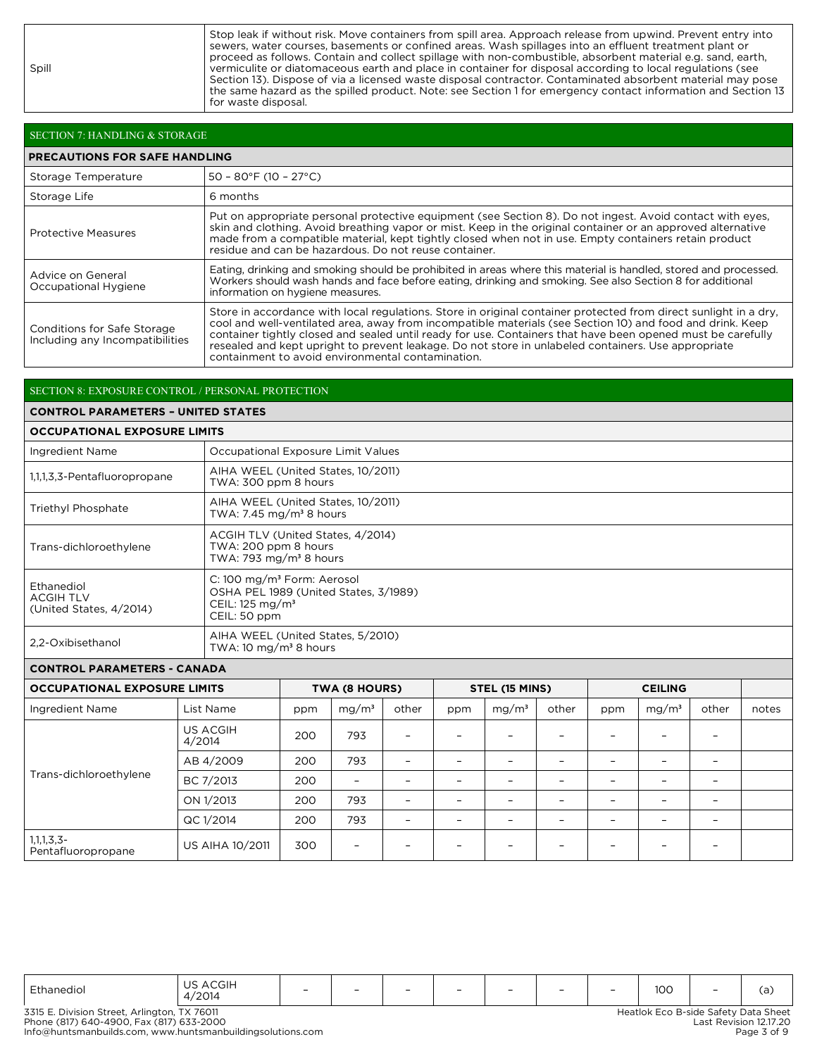Spill

Stop leak if without risk. Move containers from spill area. Approach release from upwind. Prevent entry into sewers, water courses, basements or confined areas. Wash spillages into an effluent treatment plant or proceed as follows. Contain and collect spillage with non-combustible, absorbent material e.g. sand, earth, vermiculite or diatomaceous earth and place in container for disposal according to local regulations (see Section 13). Dispose of via a licensed waste disposal contractor. Contaminated absorbent material may pose the same hazard as the spilled product. Note: see Section 1 for emergency contact information and Section 13 for waste disposal.

| SECTION 7: HANDLING & STORAGE                                  |                                                                                                                                                                                                                                                                                                                                                                                                                                                                                                          |
|----------------------------------------------------------------|----------------------------------------------------------------------------------------------------------------------------------------------------------------------------------------------------------------------------------------------------------------------------------------------------------------------------------------------------------------------------------------------------------------------------------------------------------------------------------------------------------|
| <b>PRECAUTIONS FOR SAFE HANDLING</b>                           |                                                                                                                                                                                                                                                                                                                                                                                                                                                                                                          |
| Storage Temperature                                            | $50 - 80$ °F (10 - 27°C)                                                                                                                                                                                                                                                                                                                                                                                                                                                                                 |
| Storage Life                                                   | 6 months                                                                                                                                                                                                                                                                                                                                                                                                                                                                                                 |
| <b>Protective Measures</b>                                     | Put on appropriate personal protective equipment (see Section 8). Do not ingest. Avoid contact with eyes,<br>skin and clothing. Avoid breathing vapor or mist. Keep in the original container or an approved alternative<br>made from a compatible material, kept tightly closed when not in use. Empty containers retain product<br>residue and can be hazardous. Do not reuse container.                                                                                                               |
| Advice on General<br>Occupational Hygiene                      | Eating, drinking and smoking should be prohibited in areas where this material is handled, stored and processed.<br>Workers should wash hands and face before eating, drinking and smoking. See also Section 8 for additional<br>information on hygiene measures.                                                                                                                                                                                                                                        |
| Conditions for Safe Storage<br>Including any Incompatibilities | Store in accordance with local regulations. Store in original container protected from direct sunlight in a dry,<br>cool and well-ventilated area, away from incompatible materials (see Section 10) and food and drink. Keep<br>container tightly closed and sealed until ready for use. Containers that have been opened must be carefully<br>resealed and kept upright to prevent leakage. Do not store in unlabeled containers. Use appropriate<br>containment to avoid environmental contamination. |

#### SECTION 8: EXPOSURE CONTROL / PERSONAL PROTECTION

#### **CONTROL PARAMETERS – UNITED STATES**

## **OCCUPATIONAL EXPOSURE LIMITS**

| Ingredient Name                                           | Occupational Exposure Limit Values                                                                                            |
|-----------------------------------------------------------|-------------------------------------------------------------------------------------------------------------------------------|
| 1,1,1,3,3-Pentafluoropropane                              | AIHA WEEL (United States, 10/2011)<br>TWA: 300 ppm 8 hours                                                                    |
| Triethyl Phosphate                                        | AIHA WEEL (United States, 10/2011)<br>TWA: 7.45 mg/m <sup>3</sup> 8 hours                                                     |
| Trans-dichloroethylene                                    | ACGIH TLV (United States, 4/2014)<br>TWA: 200 ppm 8 hours<br>TWA: 793 mg/m <sup>3</sup> 8 hours                               |
| Ethanediol<br><b>ACGIH TLV</b><br>(United States, 4/2014) | C: 100 mg/m <sup>3</sup> Form: Aerosol<br>OSHA PEL 1989 (United States, 3/1989)<br>CEIL: $125 \text{ mg/m}^3$<br>CEIL: 50 ppm |
| 2.2-Oxibisethanol                                         | AIHA WEEL (United States, 5/2010)<br>TWA: 10 mg/m <sup>3</sup> 8 hours                                                        |

## **CONTROL PARAMETERS - CANADA**

| <b>OCCUPATIONAL EXPOSURE LIMITS</b> |                           | TWA (8 HOURS) |                          |                          | <b>STEL (15 MINS)</b>    |                          |                          |                          |                   |                          |       |
|-------------------------------------|---------------------------|---------------|--------------------------|--------------------------|--------------------------|--------------------------|--------------------------|--------------------------|-------------------|--------------------------|-------|
| Ingredient Name                     | List Name                 | ppm           | mg/m <sup>3</sup>        | other                    | ppm                      | mg/m <sup>3</sup>        | other                    | ppm                      | mg/m <sup>3</sup> | other                    | notes |
| Trans-dichloroethylene              | <b>US ACGIH</b><br>4/2014 | 200           | 793                      | $\qquad \qquad -$        |                          | $\overline{\phantom{0}}$ |                          | $\overline{\phantom{0}}$ |                   | -                        |       |
|                                     | AB 4/2009                 | 200           | 793                      | $\overline{\phantom{0}}$ |                          |                          |                          | -                        | -                 | -                        |       |
|                                     | BC 7/2013                 | 200           | $\overline{\phantom{a}}$ | $\overline{\phantom{0}}$ | $\overline{\phantom{0}}$ | $\overline{\phantom{0}}$ | $\overline{\phantom{0}}$ | $\overline{\phantom{0}}$ | -                 | -                        |       |
|                                     | ON 1/2013                 | 200           | 793                      | $\overline{\phantom{0}}$ |                          |                          |                          |                          |                   | -                        |       |
|                                     | QC 1/2014                 | 200           | 793                      | $\equiv$                 |                          |                          |                          | -                        | -                 | $\overline{\phantom{0}}$ |       |
| 1,1,1,3,3-<br>Pentafluoropropane    | <b>US AIHA 10/2011</b>    | 300           | -                        |                          |                          |                          |                          |                          |                   |                          |       |

| Ethanediol | $\sim$ $\sim$ $\sim$ $\sim$ $\sim$<br>ILU.IH<br>▵<br>/2014 | $\overline{\phantom{0}}$ | $\overline{\phantom{0}}$ | $\overline{\phantom{0}}$ | $\overline{\phantom{0}}$ | $\overline{\phantom{0}}$ | $\overline{\phantom{0}}$ | $\overline{\phantom{0}}$ | 100 | $\overline{\phantom{0}}$ |  |
|------------|------------------------------------------------------------|--------------------------|--------------------------|--------------------------|--------------------------|--------------------------|--------------------------|--------------------------|-----|--------------------------|--|
|------------|------------------------------------------------------------|--------------------------|--------------------------|--------------------------|--------------------------|--------------------------|--------------------------|--------------------------|-----|--------------------------|--|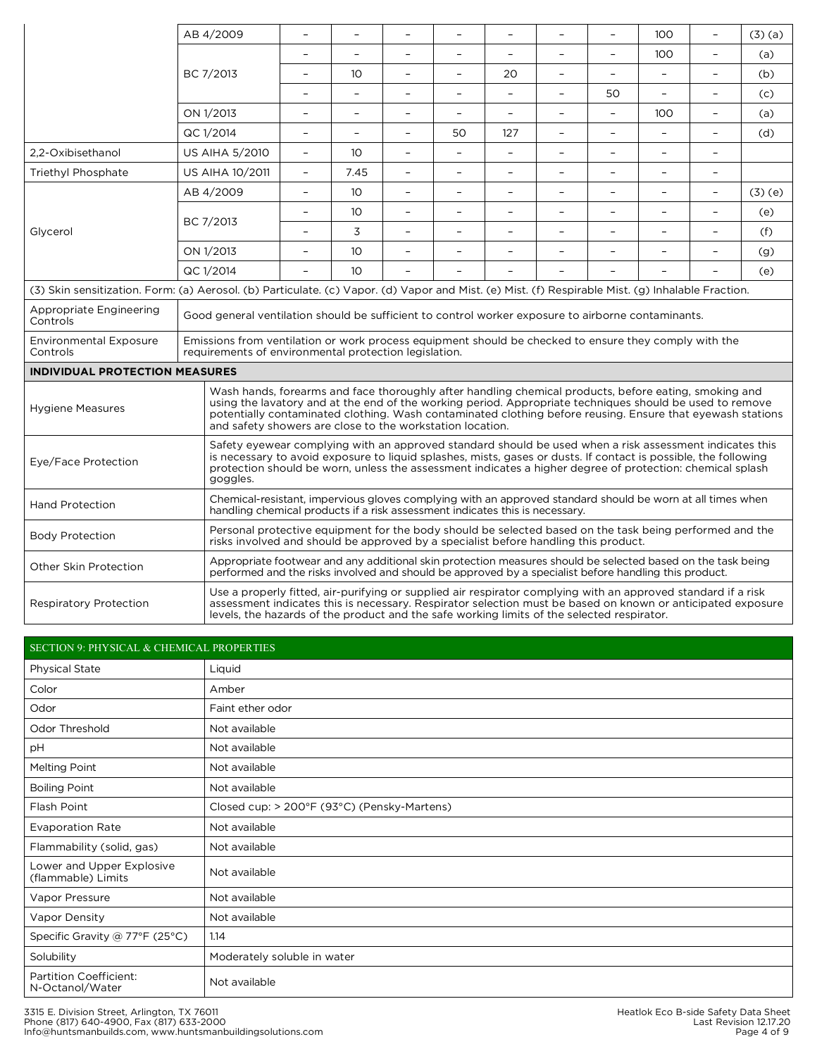|                                                                                                                                                   | AB 4/2009                                                                                                                                                                                                                                                                                                                                                                                    | $\frac{1}{2}$                                                                                                                                                                                                                                                                                                                           | $\overline{\phantom{0}}$ | $\equiv$                 | $\equiv$                 | $\equiv$                 | $\equiv$                 | $\overline{\phantom{0}}$ | 100                      | $\equiv$                 | (3)(a) |
|---------------------------------------------------------------------------------------------------------------------------------------------------|----------------------------------------------------------------------------------------------------------------------------------------------------------------------------------------------------------------------------------------------------------------------------------------------------------------------------------------------------------------------------------------------|-----------------------------------------------------------------------------------------------------------------------------------------------------------------------------------------------------------------------------------------------------------------------------------------------------------------------------------------|--------------------------|--------------------------|--------------------------|--------------------------|--------------------------|--------------------------|--------------------------|--------------------------|--------|
|                                                                                                                                                   |                                                                                                                                                                                                                                                                                                                                                                                              |                                                                                                                                                                                                                                                                                                                                         |                          | $\overline{a}$           | L.                       | $\overline{a}$           | $\overline{a}$           | $\overline{\phantom{a}}$ | 100                      | L                        | (a)    |
|                                                                                                                                                   | BC 7/2013                                                                                                                                                                                                                                                                                                                                                                                    | $\overline{\phantom{a}}$                                                                                                                                                                                                                                                                                                                | 10 <sup>°</sup>          | ÷,                       | $\overline{\phantom{a}}$ | 20                       | $\overline{\phantom{a}}$ | $\overline{\phantom{0}}$ | $\equiv$                 | $\overline{\phantom{a}}$ | (b)    |
|                                                                                                                                                   |                                                                                                                                                                                                                                                                                                                                                                                              | $\overline{a}$                                                                                                                                                                                                                                                                                                                          | $\overline{a}$           | L.                       | $\equiv$                 | $\equiv$                 | $\sim$                   | 50                       | $\overline{a}$           | $\overline{\phantom{0}}$ | (c)    |
|                                                                                                                                                   | ON 1/2013                                                                                                                                                                                                                                                                                                                                                                                    | $\overline{\phantom{a}}$                                                                                                                                                                                                                                                                                                                | $\overline{\phantom{0}}$ |                          | $\overline{\phantom{a}}$ | $\overline{\phantom{a}}$ | $\overline{\phantom{a}}$ | $\overline{\phantom{a}}$ | 100                      | $\overline{a}$           | (a)    |
|                                                                                                                                                   | QC 1/2014                                                                                                                                                                                                                                                                                                                                                                                    | $\overline{a}$                                                                                                                                                                                                                                                                                                                          | $\overline{\phantom{0}}$ | ÷,                       | 50                       | 127                      | $\blacksquare$           | $\frac{1}{2}$            | ÷,                       | $\equiv$                 | (d)    |
| 2,2-Oxibisethanol                                                                                                                                 | <b>US AIHA 5/2010</b>                                                                                                                                                                                                                                                                                                                                                                        | $\qquad \qquad -$                                                                                                                                                                                                                                                                                                                       | 10 <sup>°</sup>          | $\equiv$                 | $\equiv$                 | $\equiv$                 | $\overline{\phantom{a}}$ | $\bar{\phantom{a}}$      | $\overline{\phantom{0}}$ | $\qquad \qquad -$        |        |
| Triethyl Phosphate                                                                                                                                | <b>US AIHA 10/2011</b>                                                                                                                                                                                                                                                                                                                                                                       | $\overline{\phantom{0}}$                                                                                                                                                                                                                                                                                                                | 7.45                     | $\equiv$                 | $\equiv$                 | $\equiv$                 | $\equiv$                 | $\frac{1}{2}$            | $\equiv$                 | $\equiv$                 |        |
|                                                                                                                                                   | AB 4/2009                                                                                                                                                                                                                                                                                                                                                                                    | $\frac{1}{2}$                                                                                                                                                                                                                                                                                                                           | 10 <sup>°</sup>          | $\overline{a}$           | $\overline{\phantom{0}}$ | L,                       | L,                       | L,                       | L,                       | $\overline{a}$           | (3)(e) |
|                                                                                                                                                   | BC 7/2013                                                                                                                                                                                                                                                                                                                                                                                    | $\overline{\phantom{a}}$                                                                                                                                                                                                                                                                                                                | 10 <sup>°</sup>          | ÷,                       | $\blacksquare$           | $\equiv$                 | $\blacksquare$           | $\overline{\phantom{a}}$ | ÷,                       | $\overline{\phantom{a}}$ | (e)    |
| Glycerol                                                                                                                                          |                                                                                                                                                                                                                                                                                                                                                                                              |                                                                                                                                                                                                                                                                                                                                         | 3                        | $\overline{a}$           | $\equiv$                 | $\overline{a}$           | L.                       | $\overline{\phantom{a}}$ | $\overline{a}$           | $\equiv$                 | (f)    |
|                                                                                                                                                   | ON 1/2013                                                                                                                                                                                                                                                                                                                                                                                    | $\overline{a}$                                                                                                                                                                                                                                                                                                                          | 10 <sup>°</sup>          | $\overline{\phantom{0}}$ | $\overline{\phantom{0}}$ | $\equiv$                 | $\overline{\phantom{a}}$ | $\overline{\phantom{a}}$ |                          | $\overline{\phantom{a}}$ | (g)    |
|                                                                                                                                                   | QC 1/2014                                                                                                                                                                                                                                                                                                                                                                                    |                                                                                                                                                                                                                                                                                                                                         | 10 <sup>2</sup>          |                          |                          |                          |                          |                          |                          |                          | (e)    |
| (3) Skin sensitization. Form: (a) Aerosol. (b) Particulate. (c) Vapor. (d) Vapor and Mist. (e) Mist. (f) Respirable Mist. (g) Inhalable Fraction. |                                                                                                                                                                                                                                                                                                                                                                                              |                                                                                                                                                                                                                                                                                                                                         |                          |                          |                          |                          |                          |                          |                          |                          |        |
| Appropriate Engineering<br>Controls                                                                                                               |                                                                                                                                                                                                                                                                                                                                                                                              | Good general ventilation should be sufficient to control worker exposure to airborne contaminants.                                                                                                                                                                                                                                      |                          |                          |                          |                          |                          |                          |                          |                          |        |
| <b>Environmental Exposure</b><br>Controls                                                                                                         |                                                                                                                                                                                                                                                                                                                                                                                              | Emissions from ventilation or work process equipment should be checked to ensure they comply with the<br>requirements of environmental protection legislation.                                                                                                                                                                          |                          |                          |                          |                          |                          |                          |                          |                          |        |
| <b>INDIVIDUAL PROTECTION MEASURES</b>                                                                                                             |                                                                                                                                                                                                                                                                                                                                                                                              |                                                                                                                                                                                                                                                                                                                                         |                          |                          |                          |                          |                          |                          |                          |                          |        |
| <b>Hygiene Measures</b>                                                                                                                           | Wash hands, forearms and face thoroughly after handling chemical products, before eating, smoking and<br>using the lavatory and at the end of the working period. Appropriate techniques should be used to remove<br>potentially contaminated clothing. Wash contaminated clothing before reusing. Ensure that eyewash stations<br>and safety showers are close to the workstation location. |                                                                                                                                                                                                                                                                                                                                         |                          |                          |                          |                          |                          |                          |                          |                          |        |
| Eye/Face Protection                                                                                                                               | goggles.                                                                                                                                                                                                                                                                                                                                                                                     | Safety eyewear complying with an approved standard should be used when a risk assessment indicates this<br>is necessary to avoid exposure to liquid splashes, mists, gases or dusts. If contact is possible, the following<br>protection should be worn, unless the assessment indicates a higher degree of protection: chemical splash |                          |                          |                          |                          |                          |                          |                          |                          |        |
| <b>Hand Protection</b>                                                                                                                            | Chemical-resistant, impervious gloves complying with an approved standard should be worn at all times when<br>handling chemical products if a risk assessment indicates this is necessary.                                                                                                                                                                                                   |                                                                                                                                                                                                                                                                                                                                         |                          |                          |                          |                          |                          |                          |                          |                          |        |
| <b>Body Protection</b>                                                                                                                            | Personal protective equipment for the body should be selected based on the task being performed and the<br>risks involved and should be approved by a specialist before handling this product.                                                                                                                                                                                               |                                                                                                                                                                                                                                                                                                                                         |                          |                          |                          |                          |                          |                          |                          |                          |        |
| Other Skin Protection                                                                                                                             | Appropriate footwear and any additional skin protection measures should be selected based on the task being<br>performed and the risks involved and should be approved by a specialist before handling this product.                                                                                                                                                                         |                                                                                                                                                                                                                                                                                                                                         |                          |                          |                          |                          |                          |                          |                          |                          |        |
| <b>Respiratory Protection</b>                                                                                                                     | Use a properly fitted, air-purifying or supplied air respirator complying with an approved standard if a risk<br>assessment indicates this is necessary. Respirator selection must be based on known or anticipated exposure<br>levels, the hazards of the product and the safe working limits of the selected respirator.                                                                   |                                                                                                                                                                                                                                                                                                                                         |                          |                          |                          |                          |                          |                          |                          |                          |        |

| <b>SECTION 9: PHYSICAL &amp; CHEMICAL PROPERTIES</b> |                                             |  |  |  |
|------------------------------------------------------|---------------------------------------------|--|--|--|
| Physical State                                       | Liquid                                      |  |  |  |
| Color                                                | Amber                                       |  |  |  |
| Odor                                                 | Faint ether odor                            |  |  |  |
| Odor Threshold                                       | Not available                               |  |  |  |
| pH                                                   | Not available                               |  |  |  |
| Melting Point                                        | Not available                               |  |  |  |
| <b>Boiling Point</b>                                 | Not available                               |  |  |  |
| Flash Point                                          | Closed cup: > 200°F (93°C) (Pensky-Martens) |  |  |  |
| <b>Evaporation Rate</b>                              | Not available                               |  |  |  |
| Flammability (solid, gas)                            | Not available                               |  |  |  |
| Lower and Upper Explosive<br>(flammable) Limits      | Not available                               |  |  |  |
| Vapor Pressure                                       | Not available                               |  |  |  |
| Vapor Density                                        | Not available                               |  |  |  |
| Specific Gravity @ 77°F (25°C)                       | 1.14                                        |  |  |  |
| Solubility                                           | Moderately soluble in water                 |  |  |  |
| <b>Partition Coefficient:</b><br>N-Octanol/Water     | Not available                               |  |  |  |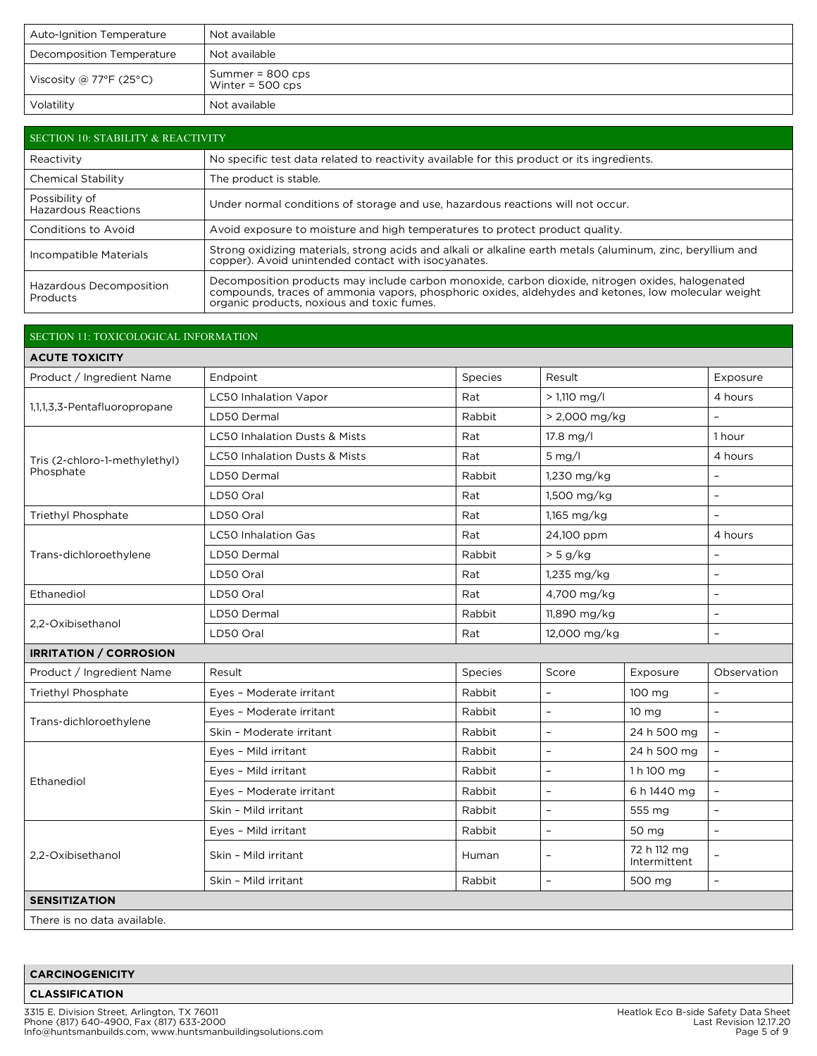| <b>Auto-Ignition Temperature</b> | Not available                            |
|----------------------------------|------------------------------------------|
| Decomposition Temperature        | Not available                            |
| Viscosity @ 77°F (25°C)          | Summer = $800$ cps<br>Winter = $500$ cps |
| Volatility                       | Not available                            |

| SECTION 10: STABILITY & REACTIVITY           |                                                                                                                                                                                                                                                       |  |  |  |
|----------------------------------------------|-------------------------------------------------------------------------------------------------------------------------------------------------------------------------------------------------------------------------------------------------------|--|--|--|
| Reactivity                                   | No specific test data related to reactivity available for this product or its ingredients.                                                                                                                                                            |  |  |  |
| Chemical Stability                           | The product is stable.                                                                                                                                                                                                                                |  |  |  |
| Possibility of<br><b>Hazardous Reactions</b> | Under normal conditions of storage and use, hazardous reactions will not occur.                                                                                                                                                                       |  |  |  |
| Conditions to Avoid                          | Avoid exposure to moisture and high temperatures to protect product quality.                                                                                                                                                                          |  |  |  |
| Incompatible Materials                       | Strong oxidizing materials, strong acids and alkali or alkaline earth metals (aluminum, zinc, beryllium and<br>copper). Avoid unintended contact with isocyanates.                                                                                    |  |  |  |
| Hazardous Decomposition<br>Products          | Decomposition products may include carbon monoxide, carbon dioxide, nitrogen oxides, halogenated<br>compounds, traces of ammonia vapors, phosphoric oxides, aldehydes and ketones, low molecular weight<br>organic products, noxious and toxic fumes. |  |  |  |

## SECTION 11: TOXICOLOGICAL INFORMATION

| <b>ACUTE TOXICITY</b>         |                                          |         |                |                             |                          |
|-------------------------------|------------------------------------------|---------|----------------|-----------------------------|--------------------------|
| Product / Ingredient Name     | Endpoint                                 | Species | Result         |                             |                          |
|                               | LC50 Inhalation Vapor                    | Rat     | $> 1.110$ mg/l |                             |                          |
| 1,1,1,3,3-Pentafluoropropane  | LD50 Dermal                              | Rabbit  |                | > 2,000 mg/kg               |                          |
|                               | LC50 Inhalation Dusts & Mists            | Rat     | $17.8$ mg/l    |                             | 1 hour                   |
| Tris (2-chloro-1-methylethyl) | <b>LC50 Inhalation Dusts &amp; Mists</b> | Rat     | $5$ mg/l       |                             |                          |
| Phosphate                     | LD50 Dermal                              | Rabbit  | 1,230 mg/kg    |                             | $\overline{\phantom{a}}$ |
|                               | LD50 Oral                                | Rat     | 1,500 mg/kg    |                             | $\bar{\phantom{a}}$      |
| Triethyl Phosphate            | LD50 Oral                                | Rat     | 1,165 mg/kg    |                             | $\overline{\phantom{0}}$ |
|                               | <b>LC50 Inhalation Gas</b>               | Rat     | 24,100 ppm     |                             | 4 hours                  |
| Trans-dichloroethylene        | LD50 Dermal                              | Rabbit  | > 5 g/kg       |                             |                          |
|                               | LD50 Oral                                | Rat     | 1,235 mg/kg    |                             | $\overline{\phantom{a}}$ |
| Ethanediol                    | LD50 Oral                                | Rat     |                | 4,700 mg/kg                 |                          |
|                               | LD50 Dermal                              | Rabbit  |                | 11,890 mg/kg                |                          |
| 2,2-Oxibisethanol             | 12,000 mg/kg<br>LD50 Oral<br>Rat         |         |                | $\overline{a}$              |                          |
| <b>IRRITATION / CORROSION</b> |                                          |         |                |                             |                          |
| Product / Ingredient Name     | Result                                   | Species | Score          | Exposure                    | Observation              |
| Triethyl Phosphate            | Eyes - Moderate irritant                 | Rabbit  | $\equiv$       | 100 mg                      | $\overline{a}$           |
| Trans-dichloroethylene        | Eyes - Moderate irritant                 | Rabbit  | $\overline{a}$ | 10 <sub>mg</sub>            | $\overline{\phantom{a}}$ |
|                               | Skin - Moderate irritant                 | Rabbit  | $\overline{a}$ | 24 h 500 mg                 | $\equiv$                 |
|                               | Eyes - Mild irritant                     | Rabbit  | L,             | 24 h 500 mg                 | $\equiv$                 |
| Ethanediol                    | Eyes - Mild irritant                     | Rabbit  | L,             | 1 h 100 mg                  | $\equiv$                 |
|                               | Eyes - Moderate irritant                 | Rabbit  | L,             | 6 h 1440 mg                 | $\bar{\phantom{a}}$      |
|                               | Skin - Mild irritant                     | Rabbit  | $\overline{a}$ | 555 mg                      | $\overline{a}$           |
| 2,2-Oxibisethanol             | Eyes - Mild irritant                     | Rabbit  | $\overline{a}$ | 50 mg                       | $\equiv$                 |
|                               | Skin - Mild irritant                     | Human   | $\equiv$       | 72 h 112 mg<br>Intermittent | $\overline{a}$           |
|                               | Skin - Mild irritant                     | Rabbit  | $\overline{a}$ | 500 mg                      | $\overline{\phantom{0}}$ |
| <b>SENSITIZATION</b>          |                                          |         |                |                             |                          |
| There is no data available.   |                                          |         |                |                             |                          |

## **CARCINOGENICITY**

**CLASSIFICATION**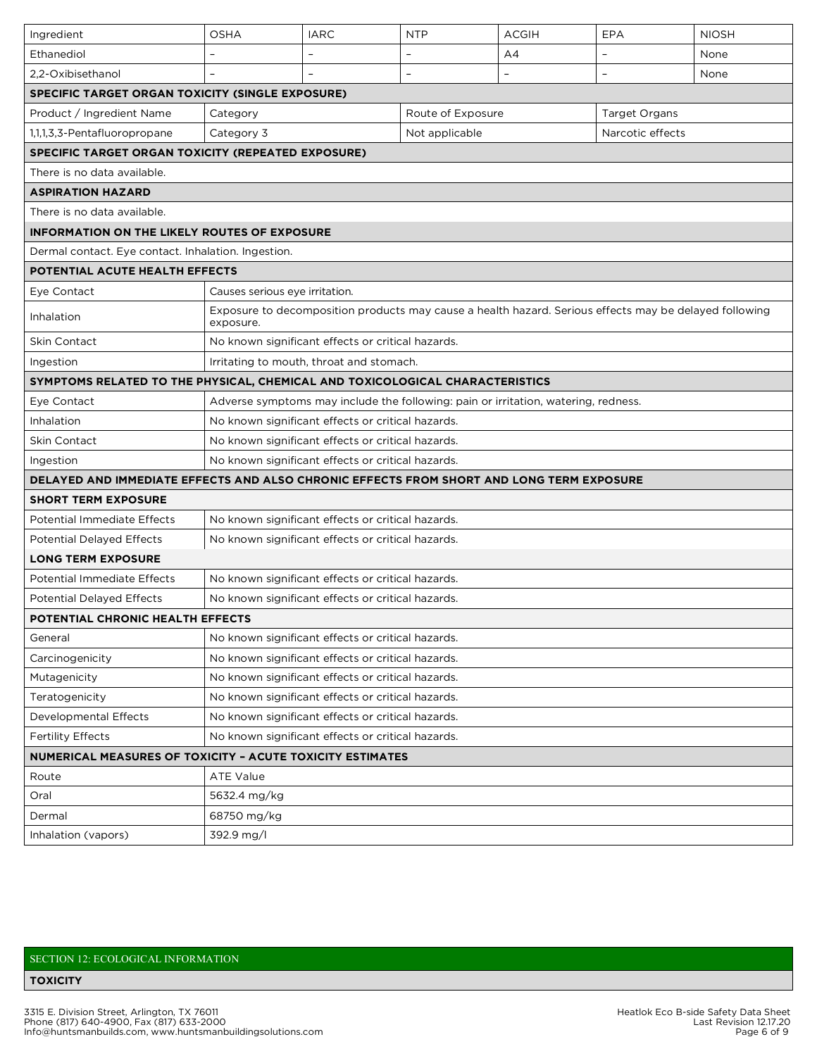| Ingredient                                                                               | <b>OSHA</b>                                       | <b>IARC</b>                                       | <b>NTP</b>                                                                                             | <b>ACGIH</b>             | EPA      | <b>NIOSH</b> |  |
|------------------------------------------------------------------------------------------|---------------------------------------------------|---------------------------------------------------|--------------------------------------------------------------------------------------------------------|--------------------------|----------|--------------|--|
| Ethanediol                                                                               |                                                   |                                                   |                                                                                                        | A4                       |          | None         |  |
| 2,2-Oxibisethanol                                                                        | L,                                                | $\bar{\phantom{a}}$                               | $\overline{\phantom{a}}$                                                                               | $\overline{\phantom{a}}$ | $\equiv$ | None         |  |
| SPECIFIC TARGET ORGAN TOXICITY (SINGLE EXPOSURE)                                         |                                                   |                                                   |                                                                                                        |                          |          |              |  |
| Product / Ingredient Name                                                                | Category                                          | Route of Exposure<br><b>Target Organs</b>         |                                                                                                        |                          |          |              |  |
| 1,1,1,3,3-Pentafluoropropane                                                             | Category 3                                        | Not applicable<br>Narcotic effects                |                                                                                                        |                          |          |              |  |
| <b>SPECIFIC TARGET ORGAN TOXICITY (REPEATED EXPOSURE)</b>                                |                                                   |                                                   |                                                                                                        |                          |          |              |  |
| There is no data available.                                                              |                                                   |                                                   |                                                                                                        |                          |          |              |  |
| <b>ASPIRATION HAZARD</b>                                                                 |                                                   |                                                   |                                                                                                        |                          |          |              |  |
| There is no data available.                                                              |                                                   |                                                   |                                                                                                        |                          |          |              |  |
| <b>INFORMATION ON THE LIKELY ROUTES OF EXPOSURE</b>                                      |                                                   |                                                   |                                                                                                        |                          |          |              |  |
| Dermal contact. Eye contact. Inhalation. Ingestion.                                      |                                                   |                                                   |                                                                                                        |                          |          |              |  |
| POTENTIAL ACUTE HEALTH EFFECTS                                                           |                                                   |                                                   |                                                                                                        |                          |          |              |  |
| Eye Contact                                                                              | Causes serious eye irritation.                    |                                                   |                                                                                                        |                          |          |              |  |
| Inhalation                                                                               | exposure.                                         |                                                   | Exposure to decomposition products may cause a health hazard. Serious effects may be delayed following |                          |          |              |  |
| Skin Contact                                                                             |                                                   | No known significant effects or critical hazards. |                                                                                                        |                          |          |              |  |
| Ingestion                                                                                |                                                   | Irritating to mouth, throat and stomach.          |                                                                                                        |                          |          |              |  |
| SYMPTOMS RELATED TO THE PHYSICAL, CHEMICAL AND TOXICOLOGICAL CHARACTERISTICS             |                                                   |                                                   |                                                                                                        |                          |          |              |  |
| Eye Contact                                                                              |                                                   |                                                   | Adverse symptoms may include the following: pain or irritation, watering, redness.                     |                          |          |              |  |
| Inhalation                                                                               |                                                   | No known significant effects or critical hazards. |                                                                                                        |                          |          |              |  |
| Skin Contact                                                                             | No known significant effects or critical hazards. |                                                   |                                                                                                        |                          |          |              |  |
| Ingestion                                                                                | No known significant effects or critical hazards. |                                                   |                                                                                                        |                          |          |              |  |
| DELAYED AND IMMEDIATE EFFECTS AND ALSO CHRONIC EFFECTS FROM SHORT AND LONG TERM EXPOSURE |                                                   |                                                   |                                                                                                        |                          |          |              |  |
| <b>SHORT TERM EXPOSURE</b>                                                               |                                                   |                                                   |                                                                                                        |                          |          |              |  |
| <b>Potential Immediate Effects</b>                                                       |                                                   | No known significant effects or critical hazards. |                                                                                                        |                          |          |              |  |
| <b>Potential Delayed Effects</b>                                                         |                                                   | No known significant effects or critical hazards. |                                                                                                        |                          |          |              |  |
| <b>LONG TERM EXPOSURE</b>                                                                |                                                   |                                                   |                                                                                                        |                          |          |              |  |
| <b>Potential Immediate Effects</b>                                                       |                                                   | No known significant effects or critical hazards. |                                                                                                        |                          |          |              |  |
| <b>Potential Delayed Effects</b>                                                         |                                                   | No known significant effects or critical hazards. |                                                                                                        |                          |          |              |  |
| POTENTIAL CHRONIC HEALTH EFFECTS                                                         |                                                   |                                                   |                                                                                                        |                          |          |              |  |
| General                                                                                  |                                                   | No known significant effects or critical hazards. |                                                                                                        |                          |          |              |  |
| Carcinogenicity                                                                          |                                                   | No known significant effects or critical hazards. |                                                                                                        |                          |          |              |  |
| Mutagenicity                                                                             |                                                   | No known significant effects or critical hazards. |                                                                                                        |                          |          |              |  |
| Teratogenicity                                                                           |                                                   | No known significant effects or critical hazards. |                                                                                                        |                          |          |              |  |
| <b>Developmental Effects</b>                                                             |                                                   | No known significant effects or critical hazards. |                                                                                                        |                          |          |              |  |
| <b>Fertility Effects</b>                                                                 | No known significant effects or critical hazards. |                                                   |                                                                                                        |                          |          |              |  |
| NUMERICAL MEASURES OF TOXICITY - ACUTE TOXICITY ESTIMATES                                |                                                   |                                                   |                                                                                                        |                          |          |              |  |
| Route                                                                                    | ATE Value                                         |                                                   |                                                                                                        |                          |          |              |  |
| Oral                                                                                     | 5632.4 mg/kg                                      |                                                   |                                                                                                        |                          |          |              |  |
| Dermal                                                                                   | 68750 mg/kg                                       |                                                   |                                                                                                        |                          |          |              |  |
| Inhalation (vapors)                                                                      | 392.9 mg/l                                        |                                                   |                                                                                                        |                          |          |              |  |

## SECTION 12: ECOLOGICAL INFORMATION

## **TOXICITY**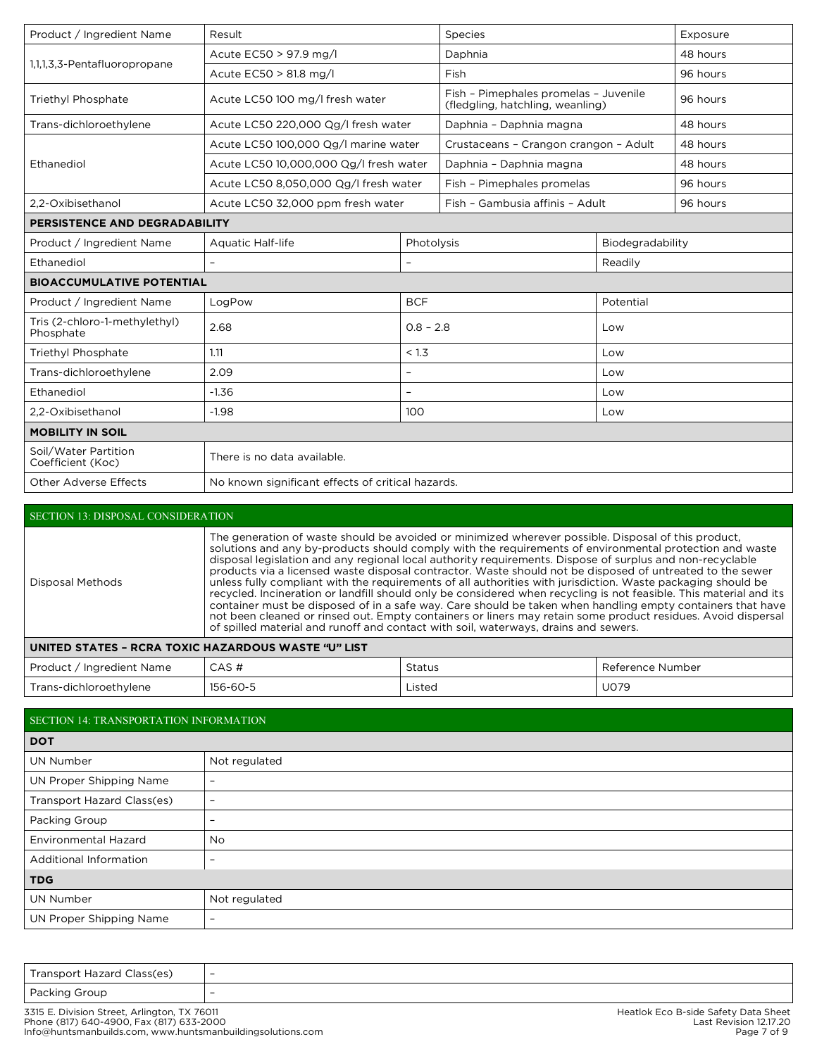| Product / Ingredient Name                  | Result                                            |             | Species                                                                   |          | Exposure |  |  |
|--------------------------------------------|---------------------------------------------------|-------------|---------------------------------------------------------------------------|----------|----------|--|--|
| Acute EC50 > 97.9 mg/l                     |                                                   | Daphnia     |                                                                           | 48 hours |          |  |  |
| 1,1,1,3,3-Pentafluoropropane               | Acute EC50 > 81.8 mg/l                            |             | Fish                                                                      |          | 96 hours |  |  |
| Triethyl Phosphate                         | Acute LC50 100 mg/l fresh water                   |             | Fish - Pimephales promelas - Juvenile<br>(fledgling, hatchling, weanling) |          | 96 hours |  |  |
| Trans-dichloroethylene                     | Acute LC50 220,000 Qg/I fresh water               |             | Daphnia - Daphnia magna                                                   |          | 48 hours |  |  |
|                                            | Acute LC50 100,000 Qg/l marine water              |             | Crustaceans - Crangon crangon - Adult                                     |          | 48 hours |  |  |
| Ethanediol                                 | Acute LC50 10,000,000 Qg/l fresh water            |             | Daphnia - Daphnia magna                                                   |          | 48 hours |  |  |
|                                            | Acute LC50 8,050,000 Qg/l fresh water             |             | Fish - Pimephales promelas                                                |          | 96 hours |  |  |
| 2.2-Oxibisethanol                          | Acute LC50 32,000 ppm fresh water                 |             | Fish - Gambusia affinis - Adult                                           |          | 96 hours |  |  |
| PERSISTENCE AND DEGRADABILITY              |                                                   |             |                                                                           |          |          |  |  |
| Product / Ingredient Name                  | Photolysis<br><b>Aquatic Half-life</b>            |             | Biodegradability                                                          |          |          |  |  |
| Ethanediol                                 | $\overline{\phantom{a}}$                          |             | Readily                                                                   |          |          |  |  |
| <b>BIOACCUMULATIVE POTENTIAL</b>           |                                                   |             |                                                                           |          |          |  |  |
| Product / Ingredient Name                  | <b>BCF</b><br>LogPow                              |             | Potential                                                                 |          |          |  |  |
| Tris (2-chloro-1-methylethyl)<br>Phosphate | 2.68                                              | $0.8 - 2.8$ |                                                                           | Low      |          |  |  |
| Triethyl Phosphate                         | 1.11                                              | < 1.3       |                                                                           | Low      |          |  |  |
| Trans-dichloroethylene                     | 2.09                                              |             |                                                                           | Low      |          |  |  |
| Ethanediol                                 | $-1.36$                                           |             |                                                                           | Low      |          |  |  |
| 2,2-Oxibisethanol                          | $-1.98$<br>100                                    |             | Low                                                                       |          |          |  |  |
| <b>MOBILITY IN SOIL</b>                    |                                                   |             |                                                                           |          |          |  |  |
| Soil/Water Partition<br>Coefficient (Koc)  | There is no data available.                       |             |                                                                           |          |          |  |  |
| <b>Other Adverse Effects</b>               | No known significant effects of critical hazards. |             |                                                                           |          |          |  |  |

| <b>SECTION 13: DISPOSAL CONSIDERATION</b>           |                                                                                                                                                                                                                                                                                                                                                                                                                                                                                                                                                                                                                                                                                                                                                                                                                                                                                                                                                                                                     |               |                  |  |  |  |
|-----------------------------------------------------|-----------------------------------------------------------------------------------------------------------------------------------------------------------------------------------------------------------------------------------------------------------------------------------------------------------------------------------------------------------------------------------------------------------------------------------------------------------------------------------------------------------------------------------------------------------------------------------------------------------------------------------------------------------------------------------------------------------------------------------------------------------------------------------------------------------------------------------------------------------------------------------------------------------------------------------------------------------------------------------------------------|---------------|------------------|--|--|--|
| Disposal Methods                                    | The generation of waste should be avoided or minimized wherever possible. Disposal of this product,<br>solutions and any by-products should comply with the requirements of environmental protection and waste<br>disposal legislation and any regional local authority requirements. Dispose of surplus and non-recyclable<br>products via a licensed waste disposal contractor. Waste should not be disposed of untreated to the sewer<br>unless fully compliant with the requirements of all authorities with jurisdiction. Waste packaging should be<br>recycled. Incineration or landfill should only be considered when recycling is not feasible. This material and its<br>container must be disposed of in a safe way. Care should be taken when handling empty containers that have<br>not been cleaned or rinsed out. Empty containers or liners may retain some product residues. Avoid dispersal<br>of spilled material and runoff and contact with soil, waterways, drains and sewers. |               |                  |  |  |  |
| UNITED STATES - RCRA TOXIC HAZARDOUS WASTE "U" LIST |                                                                                                                                                                                                                                                                                                                                                                                                                                                                                                                                                                                                                                                                                                                                                                                                                                                                                                                                                                                                     |               |                  |  |  |  |
| Product / Ingredient Name                           | CAS#                                                                                                                                                                                                                                                                                                                                                                                                                                                                                                                                                                                                                                                                                                                                                                                                                                                                                                                                                                                                | <b>Status</b> | Reference Number |  |  |  |

Trans-dichloroethylene 156-60-5 Listed Listed U079

## SECTION 14: TRANSPORTATION INFORMATION

| <b>DOT</b>                 |                   |  |  |  |
|----------------------------|-------------------|--|--|--|
| <b>UN Number</b>           | Not regulated     |  |  |  |
| UN Proper Shipping Name    | $\qquad \qquad$   |  |  |  |
| Transport Hazard Class(es) | $\qquad \qquad -$ |  |  |  |
| Packing Group              | $\qquad \qquad$   |  |  |  |
| Environmental Hazard       | <b>No</b>         |  |  |  |
| Additional Information     | $\qquad \qquad$   |  |  |  |
| <b>TDG</b>                 |                   |  |  |  |
| UN Number                  | Not regulated     |  |  |  |
| UN Proper Shipping Name    | $\qquad \qquad -$ |  |  |  |

| Transport Hazard Class(es) | $\overline{\phantom{0}}$ |
|----------------------------|--------------------------|
| Packing Group              | -                        |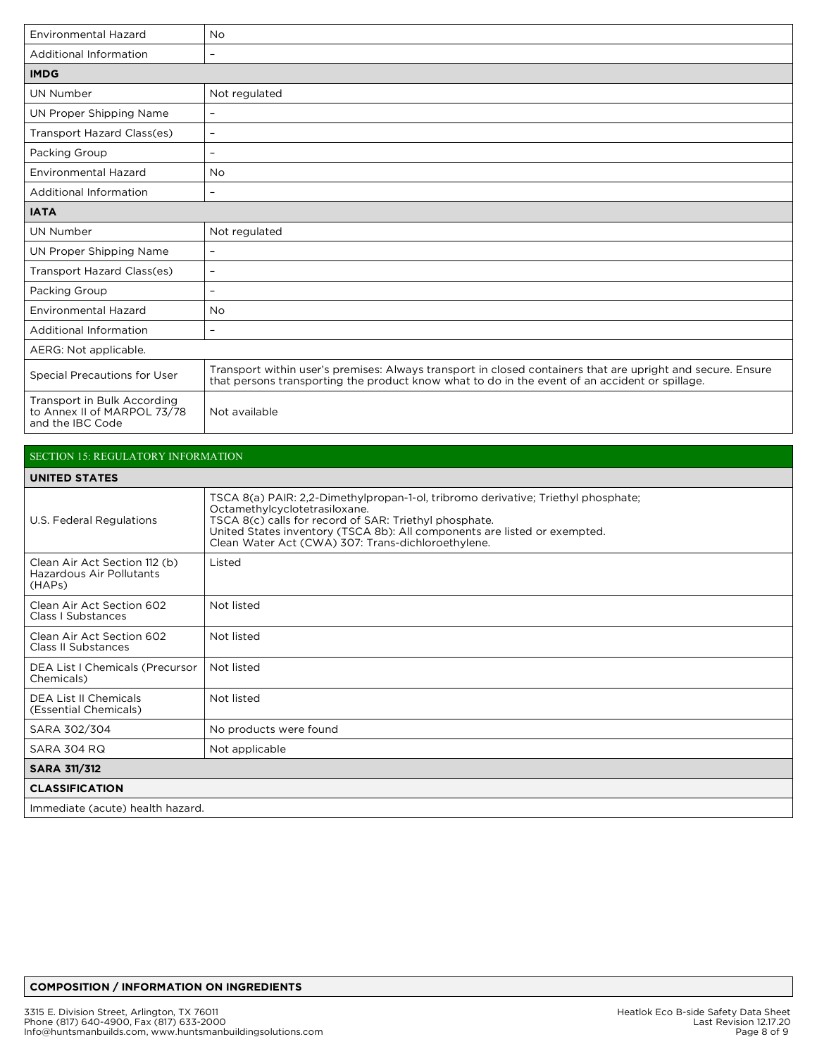| <b>Environmental Hazard</b>                                                    | <b>No</b>                                                                                                                                                                                                     |
|--------------------------------------------------------------------------------|---------------------------------------------------------------------------------------------------------------------------------------------------------------------------------------------------------------|
| Additional Information                                                         | $\overline{\phantom{a}}$                                                                                                                                                                                      |
| <b>IMDG</b>                                                                    |                                                                                                                                                                                                               |
| <b>UN Number</b>                                                               | Not regulated                                                                                                                                                                                                 |
| UN Proper Shipping Name                                                        | $\overline{\phantom{a}}$                                                                                                                                                                                      |
| Transport Hazard Class(es)                                                     | $\overline{\phantom{a}}$                                                                                                                                                                                      |
| Packing Group                                                                  | $\overline{\phantom{m}}$                                                                                                                                                                                      |
| <b>Environmental Hazard</b>                                                    | <b>No</b>                                                                                                                                                                                                     |
| Additional Information                                                         | $\overline{\phantom{a}}$                                                                                                                                                                                      |
| <b>IATA</b>                                                                    |                                                                                                                                                                                                               |
| <b>UN Number</b>                                                               | Not regulated                                                                                                                                                                                                 |
| UN Proper Shipping Name                                                        | $\overline{\phantom{a}}$                                                                                                                                                                                      |
| Transport Hazard Class(es)                                                     | $\equiv$                                                                                                                                                                                                      |
| Packing Group                                                                  | $\equiv$                                                                                                                                                                                                      |
| <b>Environmental Hazard</b>                                                    | <b>No</b>                                                                                                                                                                                                     |
| Additional Information                                                         | $\equiv$                                                                                                                                                                                                      |
| AERG: Not applicable.                                                          |                                                                                                                                                                                                               |
| <b>Special Precautions for User</b>                                            | Transport within user's premises: Always transport in closed containers that are upright and secure. Ensure<br>that persons transporting the product know what to do in the event of an accident or spillage. |
| Transport in Bulk According<br>to Annex II of MARPOL 73/78<br>and the IBC Code | Not available                                                                                                                                                                                                 |

# SECTION 15: REGULATORY INFORMATION

| <b>UNITED STATES</b>                                                |                                                                                                                                                                                                                                                                                                                 |  |  |  |
|---------------------------------------------------------------------|-----------------------------------------------------------------------------------------------------------------------------------------------------------------------------------------------------------------------------------------------------------------------------------------------------------------|--|--|--|
| U.S. Federal Regulations                                            | TSCA 8(a) PAIR: 2,2-Dimethylpropan-1-ol, tribromo derivative; Triethyl phosphate;<br>Octamethylcyclotetrasiloxane.<br>TSCA 8(c) calls for record of SAR: Triethyl phosphate.<br>United States inventory (TSCA 8b): All components are listed or exempted.<br>Clean Water Act (CWA) 307: Trans-dichloroethylene. |  |  |  |
| Clean Air Act Section 112 (b)<br>Hazardous Air Pollutants<br>(HAPs) | Listed                                                                                                                                                                                                                                                                                                          |  |  |  |
| Clean Air Act Section 602<br>Class I Substances                     | Not listed                                                                                                                                                                                                                                                                                                      |  |  |  |
| Clean Air Act Section 602<br>Class II Substances                    | Not listed                                                                                                                                                                                                                                                                                                      |  |  |  |
| DEA List I Chemicals (Precursor<br>Chemicals)                       | Not listed                                                                                                                                                                                                                                                                                                      |  |  |  |
| DEA List II Chemicals<br>(Essential Chemicals)                      | Not listed                                                                                                                                                                                                                                                                                                      |  |  |  |
| SARA 302/304                                                        | No products were found                                                                                                                                                                                                                                                                                          |  |  |  |
| <b>SARA 304 RQ</b>                                                  | Not applicable                                                                                                                                                                                                                                                                                                  |  |  |  |
| <b>SARA 311/312</b>                                                 |                                                                                                                                                                                                                                                                                                                 |  |  |  |
| <b>CLASSIFICATION</b>                                               |                                                                                                                                                                                                                                                                                                                 |  |  |  |
| Immediate (acute) health hazard.                                    |                                                                                                                                                                                                                                                                                                                 |  |  |  |

## **COMPOSITION / INFORMATION ON INGREDIENTS**